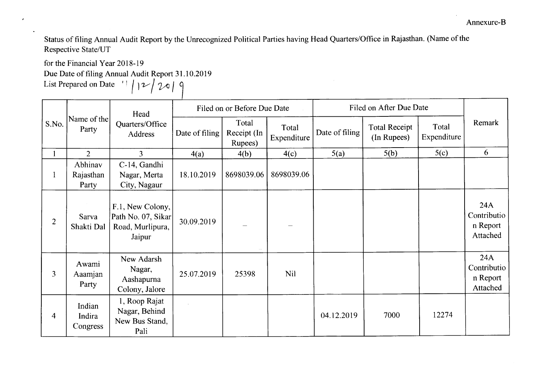Status of filing Annual Audit Report by the Unrecognized Political Parties having Head Quarters/Office in Rajasthan. (Name of the Respective State/UT

for the Financial Year 2018-19

 $\pmb{\delta}$ 

Due Date of filing Annual Audit Report 31.10.2019

List Prepared on Date  $\left| \begin{array}{c} | \\ | \end{array} \right|$   $\left| \begin{array}{c} \mathcal{V} \\ \mathcal{V} \end{array} \right|$ 

| S.No.          | Name of the<br>Party          | Head<br>Quarters/Office<br>Address                                   | Filed on or Before Due Date |                                 |                      | Filed on After Due Date |                                     |                      |                                            |
|----------------|-------------------------------|----------------------------------------------------------------------|-----------------------------|---------------------------------|----------------------|-------------------------|-------------------------------------|----------------------|--------------------------------------------|
|                |                               |                                                                      | Date of filing              | Total<br>Receipt (In<br>Rupees) | Total<br>Expenditure | Date of filing          | <b>Total Receipt</b><br>(In Rupees) | Total<br>Expenditure | Remark                                     |
|                | $\overline{2}$                | $\overline{3}$                                                       | 4(a)                        | 4(b)                            | 4(c)                 | 5(a)                    | 5(b)                                | 5(c)                 | 6                                          |
|                | Abhinav<br>Rajasthan<br>Party | C-14, Gandhi<br>Nagar, Merta<br>City, Nagaur                         | 18.10.2019                  | 8698039.06                      | 8698039.06           |                         |                                     |                      |                                            |
| $\overline{2}$ | Sarva<br>Shakti Dal           | F.1, New Colony,<br>Path No. 07, Sikar<br>Road, Murlipura,<br>Jaipur | 30.09.2019                  | $\sim$ $\sim$                   |                      |                         |                                     |                      | 24A<br>Contributio<br>n Report<br>Attached |
| 3              | Awami<br>Aaamjan<br>Party     | New Adarsh<br>Nagar,<br>Aashapurna<br>Colony, Jalore                 | 25.07.2019                  | 25398                           | <b>Nil</b>           |                         |                                     |                      | 24A<br>Contributio<br>n Report<br>Attached |
| 4              | Indian<br>Indira<br>Congress  | 1, Roop Rajat<br>Nagar, Behind<br>New Bus Stand,<br>Pali             |                             |                                 |                      | 04.12.2019              | 7000                                | 12274                |                                            |